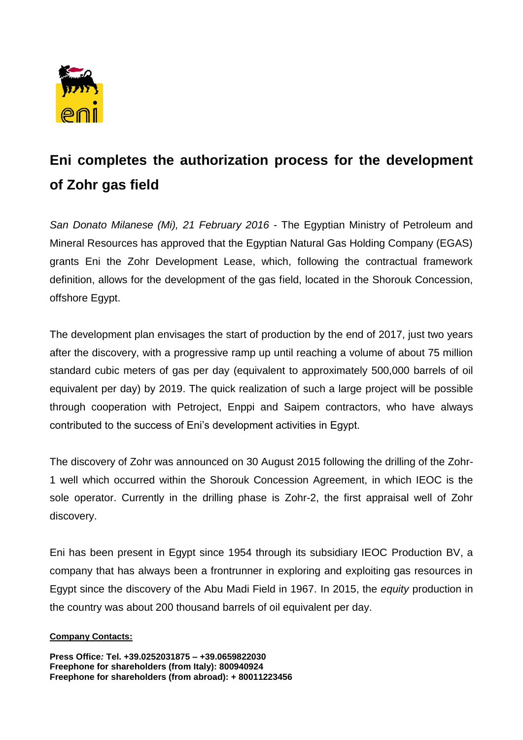

## **Eni completes the authorization process for the development of Zohr gas field**

*San Donato Milanese (Mi), 21 February 2016* - The Egyptian Ministry of Petroleum and Mineral Resources has approved that the Egyptian Natural Gas Holding Company (EGAS) grants Eni the Zohr Development Lease, which, following the contractual framework definition, allows for the development of the gas field, located in the Shorouk Concession, offshore Egypt.

The development plan envisages the start of production by the end of 2017, just two years after the discovery, with a progressive ramp up until reaching a volume of about 75 million standard cubic meters of gas per day (equivalent to approximately 500,000 barrels of oil equivalent per day) by 2019. The quick realization of such a large project will be possible through cooperation with Petroject, Enppi and Saipem contractors, who have always contributed to the success of Eni's development activities in Egypt.

The discovery of Zohr was announced on 30 August 2015 following the drilling of the Zohr-1 well which occurred within the Shorouk Concession Agreement, in which IEOC is the sole operator. Currently in the drilling phase is Zohr-2, the first appraisal well of Zohr discovery.

Eni has been present in Egypt since 1954 through its subsidiary IEOC Production BV, a company that has always been a frontrunner in exploring and exploiting gas resources in Egypt since the discovery of the Abu Madi Field in 1967. In 2015, the *equity* production in the country was about 200 thousand barrels of oil equivalent per day.

## **Company Contacts:**

**Press Office***:* **Tel. +39.0252031875 – +39.0659822030 Freephone for shareholders (from Italy): 800940924 Freephone for shareholders (from abroad): + 80011223456**